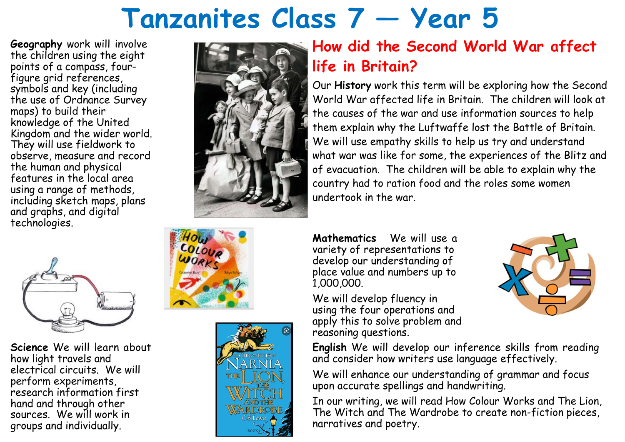## **Tanzanites Class 7 — Year 5**

**Geography** work will involve the children using the eight points of a compass, fourfigure grid references, symbols and key (including the use of Ordnance Survey maps) to build their knowledge of the United Kingdom and the wider world. They will use fieldwork to observe, measure and record the human and physical features in the local area using a range of methods, including sketch maps, plans and graphs, and digital technologies.



**Science** We will learn about how light travels and electrical circuits. We will perform experiments, research information first hand and through other sources. We will work in groups and individually.







## **How did the Second World War affect life in Britain?**

Our **History** work this term will be exploring how the Second World War affected life in Britain. The children will look at the causes of the war and use information sources to help them explain why the Luftwaffe lost the Battle of Britain. We will use empathy skills to help us try and understand what war was like for some, the experiences of the Blitz and of evacuation. The children will be able to explain why the country had to ration food and the roles some women undertook in the war.

**Mathematics** We will use a variety of representations to develop our understanding of place value and numbers up to 1,000,000.

We will develop fluency in using the four operations and apply this to solve problem and reasoning questions.

**English** We will develop our inference skills from reading and consider how writers use language effectively.

We will enhance our understanding of grammar and focus upon accurate spellings and handwriting.

In our writing, we will read How Colour Works and The Lion, The Witch and The Wardrobe to create non-fiction pieces, narratives and poetry.